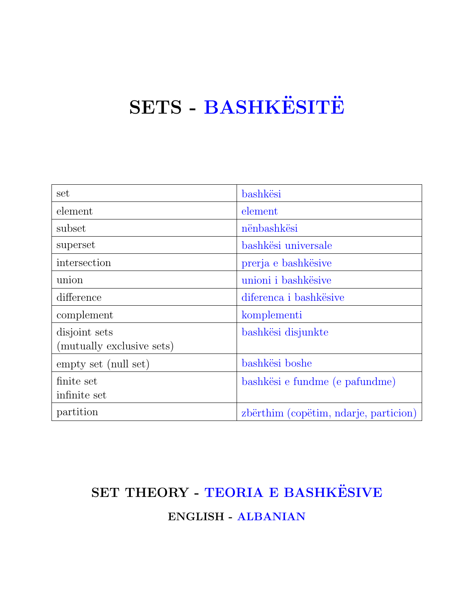# SETS - BASHKËSITË

| set                       | bashkësi                              |
|---------------------------|---------------------------------------|
| element                   | element                               |
| subset                    | nënbashkësi                           |
| superset                  | bashkësi universale                   |
| intersection              | prerja e bashkësive                   |
| union                     | unioni i bashkësive                   |
| difference                | diferenca i bashkësive                |
| complement                | komplementi                           |
| disjoint sets             | bashkësi disjunkte                    |
| (mutually exclusive sets) |                                       |
| empty set (null set)      | bashkësi boshe                        |
| finite set                | bashkësi e fundme (e pafundme)        |
| infinite set              |                                       |
| partition                 | zbërthim (copëtim, ndarje, particion) |

## SET THEORY - TEORIA E BASHKËSIVE ENGLISH - ALBANIAN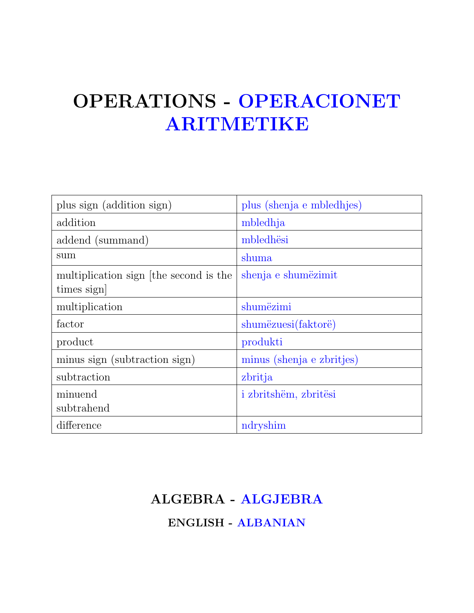## OPERATIONS - OPERACIONET ARITMETIKE

| plus sign (addition sign)                           | plus (shenja e mbledhjes) |
|-----------------------------------------------------|---------------------------|
| addition                                            | mbledhja                  |
| addend (summand)                                    | mbledhësi                 |
| sum                                                 | shuma                     |
| multiplication sign the second is the<br>times sign | shenja e shumëzimit       |
| multiplication                                      | shumëzimi                 |
| factor                                              | shumëzuesi(faktorë)       |
| product                                             | produkti                  |
| minus sign (subtraction sign)                       | minus (shenja e zbritjes) |
| subtraction                                         | zbritja                   |
| minuend<br>subtrahend                               | i zbritshëm, zbritësi     |
| difference                                          | ndryshim                  |

### ALGEBRA - ALGJEBRA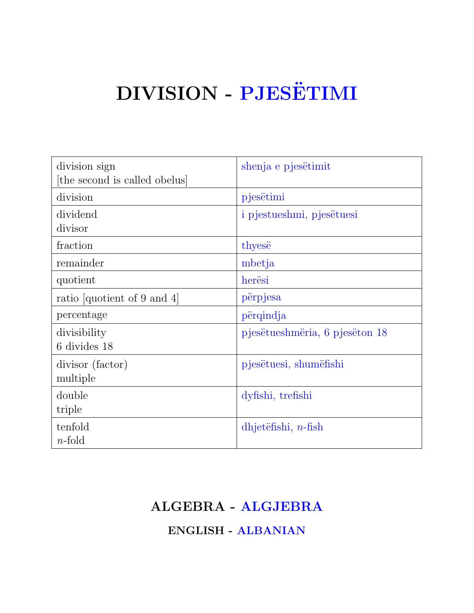# DIVISION - PJESËTIMI

| division sign                 | shenja e pjesëtimit            |
|-------------------------------|--------------------------------|
| [the second is called obelus] |                                |
| division                      | pjesëtimi                      |
| dividend                      | i pjestueshmi, pjesëtuesi      |
| divisor                       |                                |
| fraction                      | thyese                         |
| remainder                     | mbetja                         |
| quotient                      | herësi                         |
| ratio [quotient of 9 and 4]   | përpjesa                       |
| percentage                    | përqindja                      |
| divisibility                  | pjesëtueshmëria, 6 pjesëton 18 |
| 6 divides 18                  |                                |
| divisor (factor)              | pjesëtuesi, shumëfishi         |
| multiple                      |                                |
| double                        | dyfishi, trefishi              |
| triple                        |                                |
| tenfold                       | $d$ hjetëfishi, <i>n</i> -fish |
| $n$ -fold                     |                                |

#### ALGEBRA - ALGJEBRA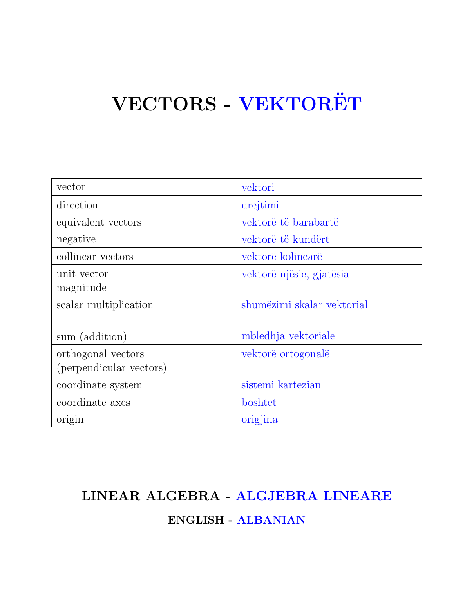# VECTORS - VEKTORËT

| vector                  | vektori                    |
|-------------------------|----------------------------|
| direction               | drejtimi                   |
| equivalent vectors      | vektorë të barabartë       |
| negative                | vektorë të kundërt         |
| collinear vectors       | vektorë kolinearë          |
| unit vector             | vektorë njësie, gjatësia   |
| magnitude               |                            |
| scalar multiplication   | shumëzimi skalar vektorial |
| sum (addition)          | mbledhja vektoriale        |
| orthogonal vectors      | vektorë ortogonalë         |
| (perpendicular vectors) |                            |
| coordinate system       | sistemi kartezian          |
| coordinate axes         | boshtet                    |
| origin                  | origjina                   |

#### LINEAR ALGEBRA - ALGJEBRA LINEARE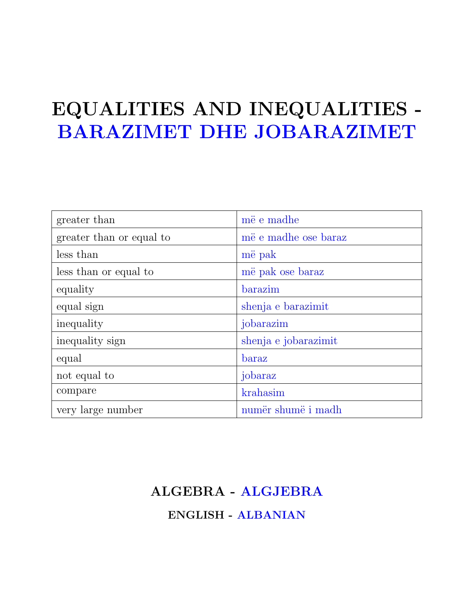## EQUALITIES AND INEQUALITIES - BARAZIMET DHE JOBARAZIMET

| greater than             | më e madhe           |
|--------------------------|----------------------|
| greater than or equal to | më e madhe ose baraz |
| less than                | më pak               |
| less than or equal to    | më pak ose baraz     |
| equality                 | barazim              |
| equal sign               | shenja e barazimit   |
| inequality               | jobarazim            |
| inequality sign          | shenja e jobarazimit |
| equal                    | baraz                |
| not equal to             | jobaraz              |
| compare                  | krahasim             |
| very large number        | numër shumë i madh   |

#### ALGEBRA - ALGJEBRA